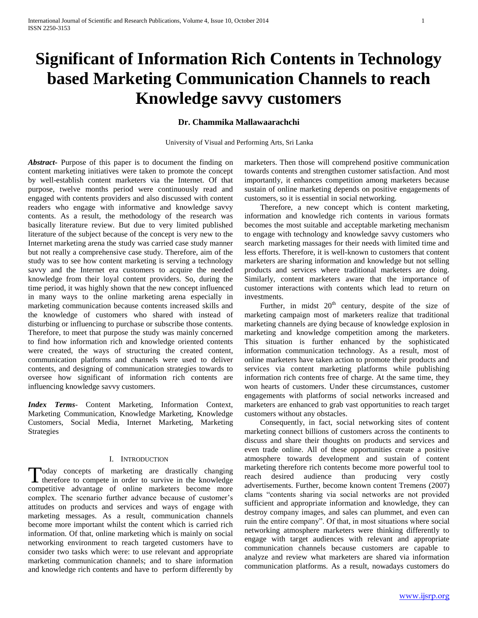# **Significant of Information Rich Contents in Technology based Marketing Communication Channels to reach Knowledge savvy customers**

# **Dr. Chammika Mallawaarachchi**

University of Visual and Performing Arts, Sri Lanka

*Abstract***-** Purpose of this paper is to document the finding on content marketing initiatives were taken to promote the concept by well-establish content marketers via the Internet. Of that purpose, twelve months period were continuously read and engaged with contents providers and also discussed with content readers who engage with informative and knowledge savvy contents. As a result, the methodology of the research was basically literature review. But due to very limited published literature of the subject because of the concept is very new to the Internet marketing arena the study was carried case study manner but not really a comprehensive case study. Therefore, aim of the study was to see how content marketing is serving a technology savvy and the Internet era customers to acquire the needed knowledge from their loyal content providers. So, during the time period, it was highly shown that the new concept influenced in many ways to the online marketing arena especially in marketing communication because contents increased skills and the knowledge of customers who shared with instead of disturbing or influencing to purchase or subscribe those contents. Therefore, to meet that purpose the study was mainly concerned to find how information rich and knowledge oriented contents were created, the ways of structuring the created content, communication platforms and channels were used to deliver contents, and designing of communication strategies towards to oversee how significant of information rich contents are influencing knowledge savvy customers.

*Index Terms*- Content Marketing, Information Context, Marketing Communication, Knowledge Marketing, Knowledge Customers, Social Media, Internet Marketing, Marketing Strategies

#### I. INTRODUCTION

oday concepts of marketing are drastically changing Today concepts of marketing are drastically changing therefore to compete in order to survive in the knowledge competitive advantage of online marketers become more complex. The scenario further advance because of customer's attitudes on products and services and ways of engage with marketing messages. As a result, communication channels become more important whilst the content which is carried rich information. Of that, online marketing which is mainly on social networking environment to reach targeted customers have to consider two tasks which were: to use relevant and appropriate marketing communication channels; and to share information and knowledge rich contents and have to perform differently by

marketers. Then those will comprehend positive communication towards contents and strengthen customer satisfaction. And most importantly, it enhances competition among marketers because sustain of online marketing depends on positive engagements of customers, so it is essential in social networking.

 Therefore, a new concept which is content marketing, information and knowledge rich contents in various formats becomes the most suitable and acceptable marketing mechanism to engage with technology and knowledge savvy customers who search marketing massages for their needs with limited time and less efforts. Therefore, it is well-known to customers that content marketers are sharing information and knowledge but not selling products and services where traditional marketers are doing. Similarly, content marketers aware that the importance of customer interactions with contents which lead to return on investments.

Further, in midst  $20<sup>th</sup>$  century, despite of the size of marketing campaign most of marketers realize that traditional marketing channels are dying because of knowledge explosion in marketing and knowledge competition among the marketers. This situation is further enhanced by the sophisticated information communication technology. As a result, most of online marketers have taken action to promote their products and services via content marketing platforms while publishing information rich contents free of charge. At the same time, they won hearts of customers. Under these circumstances, customer engagements with platforms of social networks increased and marketers are enhanced to grab vast opportunities to reach target customers without any obstacles.

 Consequently, in fact, social networking sites of content marketing connect billions of customers across the continents to discuss and share their thoughts on products and services and even trade online. All of these opportunities create a positive atmosphere towards development and sustain of content marketing therefore rich contents become more powerful tool to reach desired audience than producing very costly advertisements. Further, become known content Tremens (2007) clams "contents sharing via social networks are not provided sufficient and appropriate information and knowledge, they can destroy company images, and sales can plummet, and even can ruin the entire company". Of that, in most situations where social networking atmosphere marketers were thinking differently to engage with target audiences with relevant and appropriate communication channels because customers are capable to analyze and review what marketers are shared via information communication platforms. As a result, nowadays customers do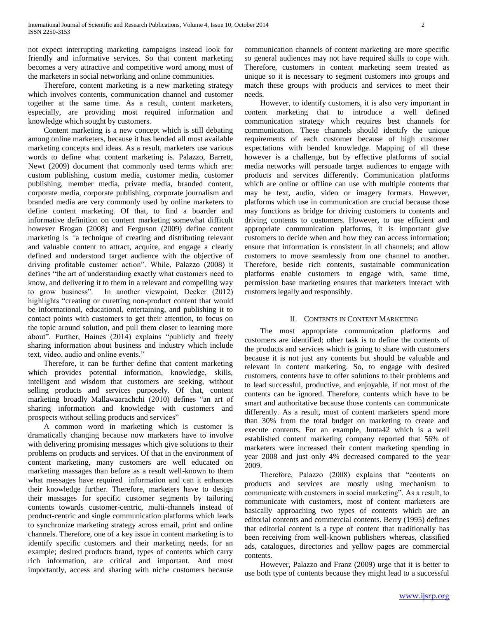not expect interrupting marketing campaigns instead look for friendly and informative services. So that content marketing becomes a very attractive and competitive word among most of the marketers in social networking and online communities.

 Therefore, content marketing is a new marketing strategy which involves contents, communication channel and customer together at the same time. As a result, content marketers, especially, are providing most required information and knowledge which sought by customers.

 Content marketing is a new concept which is still debating among online marketers, because it has bended all most available marketing concepts and ideas. As a result, marketers use various words to define what content marketing is. Palazzo, Barrett, Newt (2009) document that commonly used terms which are: custom publishing, custom media, customer media, customer publishing, member media, private media, branded content, corporate media, corporate publishing, corporate journalism and branded media are very commonly used by online marketers to define content marketing. Of that, to find a boarder and informative definition on content marketing somewhat difficult however Brogan (2008) and Ferguson (2009) define content marketing is *"*a technique of creating and distributing relevant and valuable content to attract, acquire, and engage a clearly defined and understood target audience with the objective of driving profitable customer action". While, Palazzo (2008) it defines "the art of understanding exactly what customers need to know, and delivering it to them in a relevant and compelling way to grow business". In another viewpoint, Decker (2012) highlights "creating or curetting non-product content that would be informational, educational, entertaining, and publishing it to contact points with customers to get their attention, to focus on the topic around solution, and pull them closer to learning more about". Further, Haines (2014) explains "publicly and freely sharing information about business and industry which include text, video, audio and online events."

 Therefore, it can be further define that content marketing which provides potential information, knowledge, skills, intelligent and wisdom that customers are seeking, without selling products and services purposely. Of that, content marketing broadly Mallawaarachchi (2010) defines "an art of sharing information and knowledge with customers and prospects without selling products and services"

 A common word in marketing which is customer is dramatically changing because now marketers have to involve with delivering promising messages which give solutions to their problems on products and services. Of that in the environment of content marketing, many customers are well educated on marketing massages than before as a result well-known to them what messages have required information and can it enhances their knowledge further. Therefore, marketers have to design their massages for specific customer segments by tailoring contents towards customer-centric, multi-channels instead of product-centric and single communication platforms which leads to synchronize marketing strategy across email, print and online channels. Therefore, one of a key issue in content marketing is to identify specific customers and their marketing needs, for an example; desired products brand, types of contents which carry rich information, are critical and important. And most importantly, access and sharing with niche customers because communication channels of content marketing are more specific so general audiences may not have required skills to cope with. Therefore, customers in content marketing seem treated as unique so it is necessary to segment customers into groups and match these groups with products and services to meet their needs.

 However, to identify customers, it is also very important in content marketing that to introduce a well defined communication strategy which requires best channels for communication. These channels should identify the unique requirements of each customer because of high customer expectations with bended knowledge. Mapping of all these however is a challenge, but by effective platforms of social media networks will persuade target audiences to engage with products and services differently. Communication platforms which are online or offline can use with multiple contents that may be text, audio, video or imagery formats. However, platforms which use in communication are crucial because those may functions as bridge for driving customers to contents and driving contents to customers. However, to use efficient and appropriate communication platforms, it is important give customers to decide when and how they can access information; ensure that information is consistent in all channels; and allow customers to move seamlessly from one channel to another. Therefore, beside rich contents, sustainable communication platforms enable customers to engage with, same time, permission base marketing ensures that marketers interact with customers legally and responsibly.

## II. CONTENTS IN CONTENT MARKETING

 The most appropriate communication platforms and customers are identified; other task is to define the contents of the products and services which is going to share with customers because it is not just any contents but should be valuable and relevant in content marketing. So, to engage with desired customers, contents have to offer solutions to their problems and to lead successful, productive, and enjoyable, if not most of the contents can be ignored. Therefore, contents which have to be smart and authoritative because those contents can communicate differently. As a result, most of content marketers spend more than 30% from the total budget on marketing to create and execute contents. For an example, Junta42 which is a well established content marketing company reported that 56% of marketers were increased their content marketing spending in year 2008 and just only 4% decreased compared to the year 2009.

 Therefore, Palazzo (2008) explains that "contents on products and services are mostly using mechanism to communicate with customers in social marketing". As a result, to communicate with customers, most of content marketers are basically approaching two types of contents which are an editorial contents and commercial contents. Berry (1995) defines that editorial content is a type of content that traditionally has been receiving from well-known publishers whereas, classified ads, catalogues, directories and yellow pages are commercial contents.

 However, Palazzo and Franz (2009) urge that it is better to use both type of contents because they might lead to a successful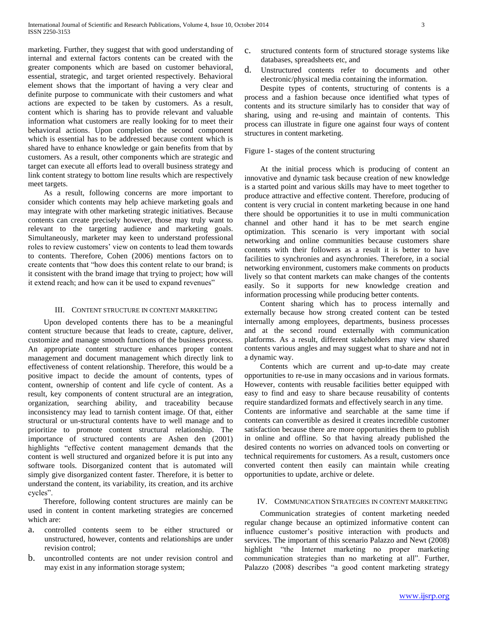marketing. Further, they suggest that with good understanding of internal and external factors contents can be created with the greater components which are based on customer behavioral, essential, strategic, and target oriented respectively. Behavioral element shows that the important of having a very clear and definite purpose to communicate with their customers and what actions are expected to be taken by customers. As a result, content which is sharing has to provide relevant and valuable information what customers are really looking for to meet their behavioral actions. Upon completion the second component which is essential has to be addressed because content which is shared have to enhance knowledge or gain benefits from that by customers. As a result, other components which are strategic and target can execute all efforts lead to overall business strategy and link content strategy to bottom line results which are respectively meet targets.

 As a result, following concerns are more important to consider which contents may help achieve marketing goals and may integrate with other marketing strategic initiatives. Because contents can create precisely however, those may truly want to relevant to the targeting audience and marketing goals. Simultaneously, marketer may keen to understand professional roles to review customers" view on contents to lead them towards to contents. Therefore, Cohen (2006) mentions factors on to create contents that "how does this content relate to our brand; is it consistent with the brand image that trying to project; how will it extend reach; and how can it be used to expand revenues"

#### III. CONTENT STRUCTURE IN CONTENT MARKETING

 Upon developed contents there has to be a meaningful content structure because that leads to create, capture, deliver, customize and manage smooth functions of the business process. An appropriate content structure enhances proper content management and document management which directly link to effectiveness of content relationship. Therefore, this would be a positive impact to decide the amount of contents, types of content, ownership of content and life cycle of content. As a result, key components of content structural are an integration, organization, searching ability, and traceability because inconsistency may lead to tarnish content image. Of that, either structural or un-structural contents have to well manage and to prioritize to promote content structural relationship. The importance of structured contents are Ashen den (2001) highlights "effective content management demands that the content is well structured and organized before it is put into any software tools. Disorganized content that is automated will simply give disorganized content faster. Therefore, it is better to understand the content, its variability, its creation, and its archive cycles".

 Therefore, following content structures are mainly can be used in content in content marketing strategies are concerned which are:

- a. controlled contents seem to be either structured or unstructured, however, contents and relationships are under revision control;
- b. uncontrolled contents are not under revision control and may exist in any information storage system;
- c. structured contents form of structured storage systems like databases, spreadsheets etc, and
- d. Unstructured contents refer to documents and other electronic/physical media containing the information.

 Despite types of contents, structuring of contents is a process and a fashion because once identified what types of contents and its structure similarly has to consider that way of sharing, using and re-using and maintain of contents. This process can illustrate in figure one against four ways of content structures in content marketing.

#### Figure 1- stages of the content structuring

 At the initial process which is producing of content an innovative and dynamic task because creation of new knowledge is a started point and various skills may have to meet together to produce attractive and effective content. Therefore, producing of content is very crucial in content marketing because in one hand there should be opportunities it to use in multi communication channel and other hand it has to be met search engine optimization. This scenario is very important with social networking and online communities because customers share contents with their followers as a result it is better to have facilities to synchronies and asynchronies. Therefore, in a social networking environment, customers make comments on products lively so that content markets can make changes of the contents easily. So it supports for new knowledge creation and information processing while producing better contents.

 Content sharing which has to process internally and externally because how strong created content can be tested internally among employees, departments, business processes and at the second round externally with communication platforms. As a result, different stakeholders may view shared contents various angles and may suggest what to share and not in a dynamic way.

 Contents which are current and up-to-date may create opportunities to re-use in many occasions and in various formats. However, contents with reusable facilities better equipped with easy to find and easy to share because reusability of contents require standardized formats and effectively search in any time. Contents are informative and searchable at the same time if contents can convertible as desired it creates incredible customer satisfaction because there are more opportunities them to publish in online and offline. So that having already published the desired contents no worries on advanced tools on converting or technical requirements for customers. As a result, customers once converted content then easily can maintain while creating opportunities to update, archive or delete.

### IV. COMMUNICATION STRATEGIES IN CONTENT MARKETING

 Communication strategies of content marketing needed regular change because an optimized informative content can influence customer"s positive interaction with products and services. The important of this scenario Palazzo and Newt (2008) highlight "the Internet marketing no proper marketing communication strategies than no marketing at all". Further, Palazzo (2008) describes "a good content marketing strategy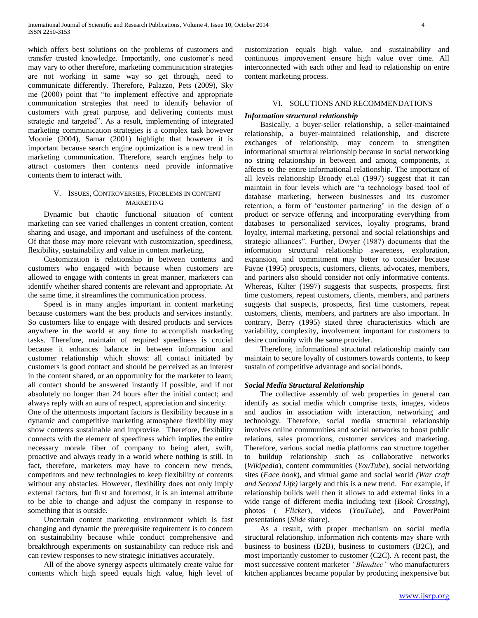which offers best solutions on the problems of customers and transfer trusted knowledge. Importantly, one customer"s need may vary to other therefore, marketing communication strategies are not working in same way so get through, need to communicate differently. Therefore, Palazzo, Pets (2009), Sky me (2000) point that "to implement effective and appropriate communication strategies that need to identify behavior of customers with great purpose, and delivering contents must strategic and targeted". As a result, implementing of integrated marketing communication strategies is a complex task however Moonie (2004), Samar (2001) highlight that however it is important because search engine optimization is a new trend in marketing communication. Therefore, search engines help to attract customers then contents need provide informative contents them to interact with.

### V. ISSUES, CONTROVERSIES, PROBLEMS IN CONTENT MARKETING

 Dynamic but chaotic functional situation of content marketing can see varied challenges in content creation, content sharing and usage, and important and usefulness of the content. Of that those may more relevant with customization, speediness, flexibility, sustainability and value in content marketing.

 Customization is relationship in between contents and customers who engaged with because when customers are allowed to engage with contents in great manner, marketers can identify whether shared contents are relevant and appropriate. At the same time, it streamlines the communication process.

 Speed is in many angles important in content marketing because customers want the best products and services instantly. So customers like to engage with desired products and services anywhere in the world at any time to accomplish marketing tasks. Therefore, maintain of required speediness is crucial because it enhances balance in between information and customer relationship which shows: all contact initiated by customers is good contact and should be perceived as an interest in the content shared, or an opportunity for the marketer to learn; all contact should be answered instantly if possible, and if not absolutely no longer than 24 hours after the initial contact; and always reply with an aura of respect, appreciation and sincerity.

One of the uttermosts important factors is flexibility because in a dynamic and competitive marketing atmosphere flexibility may show contents sustainable and improvise. Therefore, flexibility connects with the element of speediness which implies the entire necessary morale fiber of company to being alert, swift, proactive and always ready in a world where nothing is still. In fact, therefore, marketers may have to concern new trends, competitors and new technologies to keep flexibility of contents without any obstacles. However, flexibility does not only imply external factors, but first and foremost, it is an internal attribute to be able to change and adjust the company in response to something that is outside.

 Uncertain content marketing environment which is fast changing and dynamic the prerequisite requirement is to concern on sustainability because while conduct comprehensive and breakthrough experiments on sustainability can reduce risk and can review responses to new strategic initiatives accurately.

 All of the above synergy aspects ultimately create value for contents which high speed equals high value, high level of customization equals high value, and sustainability and continuous improvement ensure high value over time. All interconnected with each other and lead to relationship on entre content marketing process.

#### VI. SOLUTIONS AND RECOMMENDATIONS

#### *Information structural relationship*

 Basically, a buyer-seller relationship, a seller-maintained relationship, a buyer-maintained relationship, and discrete exchanges of relationship, may concern to strengthen informational structural relationship because in social networking no string relationship in between and among components, it affects to the entire informational relationship. The important of all levels relationship Broody et.al (1997) suggest that it can maintain in four levels which are "a technology based tool of database marketing, between businesses and its customer retention, a form of 'customer partnering' in the design of a product or service offering and incorporating everything from databases to personalized services, loyalty programs, brand loyalty, internal marketing, personal and social relationships and strategic alliances". Further, Dwyer (1987) documents that the information structural relationship awareness, exploration, expansion, and commitment may better to consider because Payne (1995) prospects, customers, clients, advocates, members, and partners also should consider not only informative contents. Whereas, Kilter (1997) suggests that suspects, prospects, first time customers, repeat customers, clients, members, and partners suggests that suspects, prospects, first time customers, repeat customers, clients, members, and partners are also important. In contrary, Berry (1995) stated three characteristics which are variability, complexity, involvement important for customers to desire continuity with the same provider.

 Therefore, informational structural relationship mainly can maintain to secure loyalty of customers towards contents, to keep sustain of competitive advantage and social bonds.

## *Social Media Structural Relationship*

 The collective assembly of web properties in general can identify as social media which comprise texts, images, videos and audios in association with interaction, networking and technology. Therefore, social media structural relationship involves online communities and social networks to boost public relations, sales promotions, customer services and marketing. Therefore, various social media platforms can structure together to buildup relationship such as collaborative networks (*Wikipedia*), content communities (*YouTube*), social networking sites (*Face book*), and virtual game and social world *(War craft and Second Life)* largely and this is a new trend. For example, if relationship builds well then it allows to add external links in a wide range of different media including text (*Book Crossing*), photos ( *Flicker*), videos (*YouTube*), and PowerPoint presentations (*Slide share*).

 As a result, with proper mechanism on social media structural relationship, information rich contents may share with business to business (B2B), business to customers (B2C), and most importantly customer to customer (C2C). A recent past, the most successive content marketer *"Blendtec"* who manufacturers kitchen appliances became popular by producing inexpensive but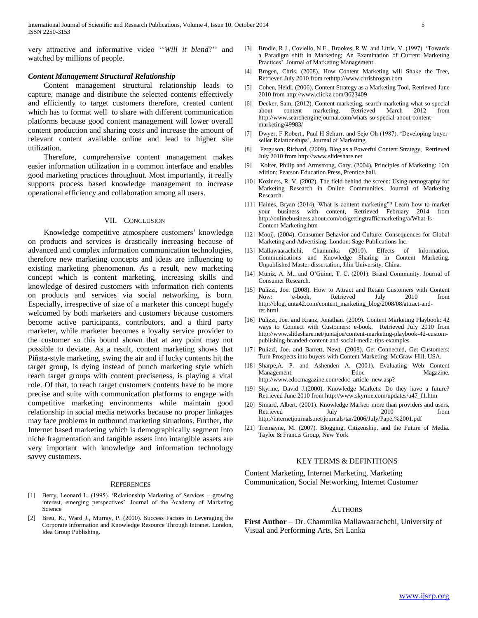very attractive and informative video ""*Will it blend*?"" and watched by millions of people.

#### *Content Management Structural Relationship*

 Content management structural relationship leads to capture, manage and distribute the selected contents effectively and efficiently to target customers therefore, created content which has to format well to share with different communication platforms because good content management will lower overall content production and sharing costs and increase the amount of relevant content available online and lead to higher site utilization.

 Therefore, comprehensive content management makes easier information utilization in a common interface and enables good marketing practices throughout. Most importantly, it really supports process based knowledge management to increase operational efficiency and collaboration among all users.

#### VII. CONCLUSION

Knowledge competitive atmosphere customers' knowledge on products and services is drastically increasing because of advanced and complex information communication technologies, therefore new marketing concepts and ideas are influencing to existing marketing phenomenon. As a result, new marketing concept which is content marketing, increasing skills and knowledge of desired customers with information rich contents on products and services via social networking, is born. Especially, irrespective of size of a marketer this concept hugely welcomed by both marketers and customers because customers become active participants, contributors, and a third party marketer, while marketer becomes a loyalty service provider to the customer so this bound shown that at any point may not possible to deviate. As a result, content marketing shows that Piñata-style marketing, swing the air and if lucky contents hit the target group, is dying instead of punch marketing style which reach target groups with content preciseness, is playing a vital role. Of that, to reach target customers contents have to be more precise and suite with communication platforms to engage with competitive marketing environments while maintain good relationship in social media networks because no proper linkages may face problems in outbound marketing situations. Further, the Internet based marketing which is demographically segment into niche fragmentation and tangible assets into intangible assets are very important with knowledge and information technology savvy customers.

#### **REFERENCES**

- [1] Berry, Leonard L. (1995). "Relationship Marketing of Services growing interest, emerging perspectives'. Journal of the Academy of Marketing Science
- [2] Breu, K., Ward J., Murray, P. (2000). Success Factors in Leveraging the Corporate Information and Knowledge Resource Through Intranet. London, Idea Group Publishing.
- [3] Brodie, R J., Coviello, N E., Brookes, R W. and Little, V. (1997). "Towards a Paradigm shift in Marketing; An Examination of Current Marketing Practices". Journal of Marketing Management.
- Brogen, Chris. (2008). How Content Marketing will Shake the Tree, Retrieved July 2010 from rethttp://www.chrisbrogan.com
- [5] Cohen, Heidi. (2006). Content Strategy as a Marketing Tool, Retrieved June 2010 from http://www.clickz.com/3623409
- [6] Decker, Sam, (2012). Content marketing, search marketing what so special about content marketing, Retrieved March 2012 from http://www.searchenginejournal.com/whats-so-special-about-contentmarketing/49983/
- [7] Dwyer, F Robert., Paul H Schurr. and Sejo Oh (1987). "Developing buyerseller Relationships', Journal of Marketing.
- [8] Ferguson, Richard, (2009). Blog as a Powerful Content Strategy, Retrieved July 2010 from http://www.slideshare.net
- [9] Kolter, Philip and Armstrong, Gary. (2004). Principles of Marketing: 10th edition; Pearson Education Press, Prentice hall.
- [10] Kozinets, R. V. (2002). The field behind the screen: Using netnography for Marketing Research in Online Communities. Journal of Marketing Research.
- [11] Haines, Bryan (2014). What is content marketing"? Learn how to market your business with content, Retrieved February 2014 from http://onlinebusiness.about.com/od/gettingtrafficmarketing/a/What-Is-Content-Marketing.htm
- [12] Mooij. (2004). Consumer Behavior and Culture: Consequences for Global Marketing and Advertising. London: Sage Publications Inc.
- [13] Mallawaarachchi, Chammika (2010). Effects of Information, Communications and Knowledge Sharing in Content Marketing. Unpublished Master dissertation, Jilin University, China.
- [14] Muniz, A. M., and O'Guinn, T. C. (2001). Brand Community. Journal of Consumer Research.
- [15] Pulizzi, Joe. (2008). How to Attract and Retain Customers with Content Now: e-book, Retrieved July 2010 from http://blog.junta42.com/content\_marketing\_blog/2008/08/attract-andret.html
- [16] Pulizzi, Joe. and Kranz, Jonathan. (2009). Content Marketing Playbook: 42 ways to Connect with Customers: e-book, Retrieved July 2010 from http://www.slideshare.net/juntajoe/content-marketing-playbook-42-custompublishing-branded-content-and-social-media-tips-examples
- [17] Pulizzi, Joe. and Barrett, Newt. (2008). Get Connected, Get Customers: Turn Prospects into buyers with Content Marketing; McGraw-Hill, USA.
- [18] Sharpe,A. P. and Ashenden A. (2001). Evaluating Web Content Management. Edoc Magazine. http://www.edocmagazine.com/edoc\_article\_new.asp?
- [19] Skyrme, David J.(2000). Knowledge Markets: Do they have a future? Retrieved June 2010 from http://www.skyrme.com/updates/u47\_f1.htm
- [20] Simard, Albert. (2001). Knowledge Market: more than providers and users, Retrieved July 2010 from http://internetjournals.net/journals/tar/2006/July/Paper%2001.pdf
- [21] Tremayne, M. (2007). Blogging, Citizenship, and the Future of Media. Taylor & Francis Group, New York

#### KEY TERMS & DEFINITIONS

Content Marketing, Internet Marketing, Marketing Communication, Social Networking, Internet Customer

#### **AUTHORS**

**First Author** – Dr. Chammika Mallawaarachchi, University of Visual and Performing Arts, Sri Lanka